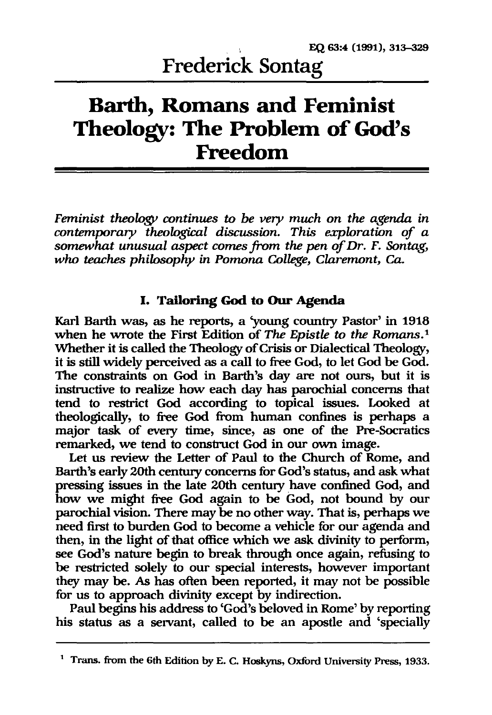# **Barth, Romans and Feminist Theology: The Problem of God's Freedom**

*Feminist theology continues* to *be very much on the agenda in contemporary theological discussion. This exploration of a somewhat unusual aspect comes from the pen of Dr. F. Sontag, who teaches philosophy in Pomona College, Claremont, Ca.* 

## **I. Tailoring God to Our Agenda**

Karl Barth was, as he reports, a 'young country Pastor' in 1918 when he wrote the First Edition of *The Epistle* to *the Romans.!*  Whether it is called the Theology of Crisis or Dialectical Theology, it is still widely perceived as a call to free God, to let God be God. The constraints on God in Barth's day are not ours, but it is instructive to realize how each day has parochial concerns that tend to restrict God according to topical issues. Looked at theologically, to free God from human confines is perhaps a major task of every time, since, as one of the Pre-Socratics remarked, we tend to construct God in our own image.

Let us review the Letter of Paul to the Church of Rome, and Barth's early 20th century concerns for God's status, and ask what pressing issues in the late 20th century have confined God, and how we might free God again to be God, not bound by our parochial vision. There may be no other way. That is, perhaps we need first to burden God to become a vehicle for our agenda and then, in the light of that office which we ask divinity to perform, see God's nature begin to break through once again, refusing to be restricted solely to our special interests, however important they may be. As has often been reported, it may not be possible for us to approach divinity except by indirection.

Paul begins his address to 'God's beloved in Rome' by reporting his status as a servant, called to be an apostle and 'specially

<sup>&</sup>lt;sup>1</sup> Trans. from the 6th Edition by E. C. Hoskyns, Oxford University Press, 1933.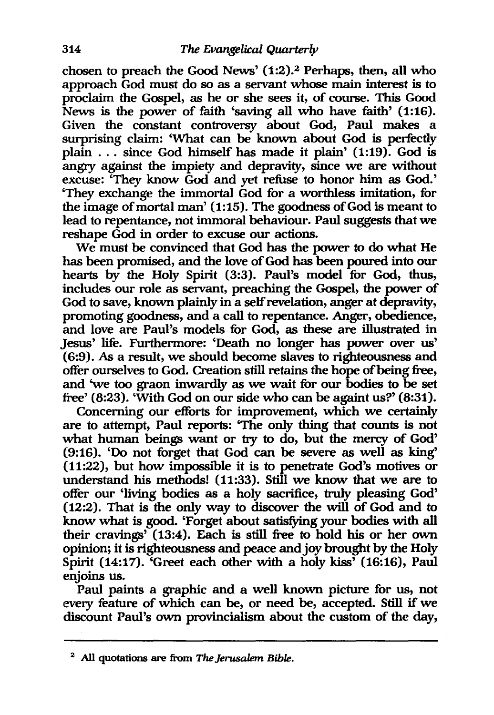chosen to preach the Good News' (1:2).2 Perhaps, then, all who approach God must do so as a servant whose main interest is to proclaim the Gospel, as he or she sees it, of course. This Good News is the power of faith 'saving all who have faith' (1:16). Given the constant controversy about God, Paul makes a surprising claim: 'What can be known about God is perfectly plain ... since God himself has made it plain' (1:19). God is angry against the impiety and depravity, since we are without excuse: 'They know God and yet refuse to honor him as God.' 'They exchange the immortal God for a worthless imitation, for the image of mortal man' (1:15). The goodness of God is meant to lead to repentance, not immoral behaviour. Paul suggests that we reshape God in order to excuse our actions.

We must be convinced that God has the power to do what He has been promised, and the love of God has been poured into our hearts by the Holy Spirit (3:3). Paul's model for God, thus, includes our role as servant, preaching the Gospel, the power of God to save, known plainly in a self revelation, anger at depravity, promoting goodness, and a call to repentance. Anger, obedience, and love are Paul's models for God, as these are illustrated in Jesus' life. Furthermore: 'Death no longer has power over us' (6:9). As a result, we should become slaves to righteousness and offer ourselves to God. Creation still retains the hope of being free, and 'we too graon inwardly as we wait for our bodies to be set free' (8:23). 'With God on our side who can be againt us?' (8:31).

Concerning our efforts for improvement, which we certainly are to attempt, Paul reports: 'The only thing that counts is not what human beings want or try to do, but the mercy of God' (9:16). 'Do not forget that God can be severe as well as king' (11:22), but how impossible it is to penetrate God's motives or understand his methods! (11:33). Still we know that we are to offer our 'living bodies as a holy sacrifice, truly pleasing God' (12:2). That is the only way to discover the will of God and to know what is good. 'Forget about satisfying your bodies with all their cravings' (13:4). Each is still free to hold his or her own opinion; it is righteousness and peace and joy brought by the Holy Spirit (14:17). 'Greet each other with a holy kiss' (16:16), Paul enjoins us.

Paul paints a graphic and a well known picture for us, not *every* feature of which can be, or need be, accepted. Still if we discount Paul's own provincialism about the custom of the day,

<sup>&</sup>lt;sup>2</sup> All quotations are from *The Jerusalem Bible*.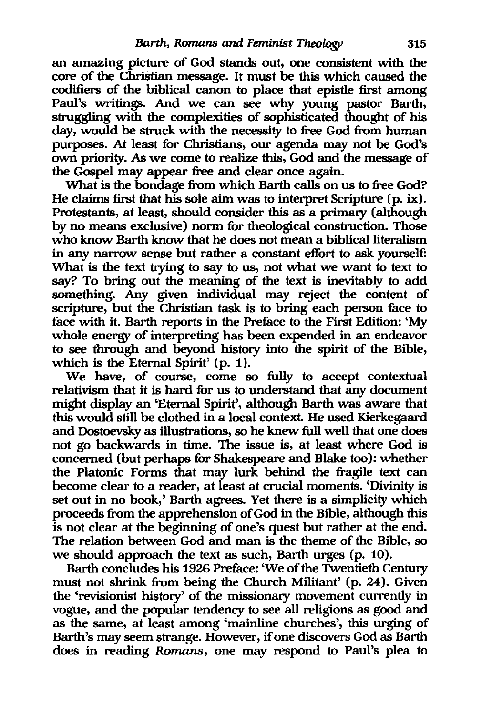an amazing picture of God stands out, one consistent with the core of the Christian message. It must be this which caused the codifiers of the biblical canon to place that epistle first among Paul's writings. And we can see why young pastor Barth, struggling with the complexities of sophisticated thought of his day, would be struck with the necessity to free God from human purposes. At least for Christians, our agenda may not be God's own priority. As we come to realize this, God and the message of the Gospel may appear free and clear once again.

What is the bondage from which Barth calls on us to free God? He claims first that his sole aim was to interpret Scripture (p. ix). Protestants, at least, should consider this as a primary (although by no means exclusive) norm for theological construction. Those who know Barth know that he does not mean a biblical literalism in any narrow sense but rather a constant effort to ask yourself: What is the text trying to say to us, not what we want to text to say? To bring out the meaning of the text is inevitably to add something. Any given individual may reject the content of scripture, but the Christian task is to bring each person face to face with it. Barth reports in the Preface to the First Edition: 'My whole energy of interpreting has been expended in an endeavor to see through and beyond history into the spirit of the Bible, which is the Eternal Spirit' (p. 1).

We have, of course, come so fully to accept contextual relativism that it is hard for us to understand that any document might display an 'Eternal Spirit', although Barth was aware that this would still be clothed in a local context. He used Kierkegaard and Dostoevsky as illustrations, so he knew full well that one does not go backwards in time. The issue is, at least where God is concerned (but perhaps for Shakespeare and Blake too): whether the Platonic Forms that may lurk behind the fragile text can become clear to a reader, at least at crucial moments. 'Divinity is set out in no book,' Barth agrees. Yet there is a simplicity which proceeds from the apprehension of God in the Bible, although this is not clear at the beginning of one's quest but rather at the end. The relation between God and man is the theme of the Bible, so we should approach the text as such, Barth urges (p. 10).

Barth concludes his 1926 Preface: 'We of the Twentieth Century must not shrink from being the Church Militant' (p. 24). Given the 'revisionist history' of the missionary movement currently in vogue, and the popular tendency to see all religions as good and as the same, at least among 'mainline churches', this urging of Barth's may seem strange. However, if one discovers God as Barth does in reading *Romans,* one may respond to Paul's plea to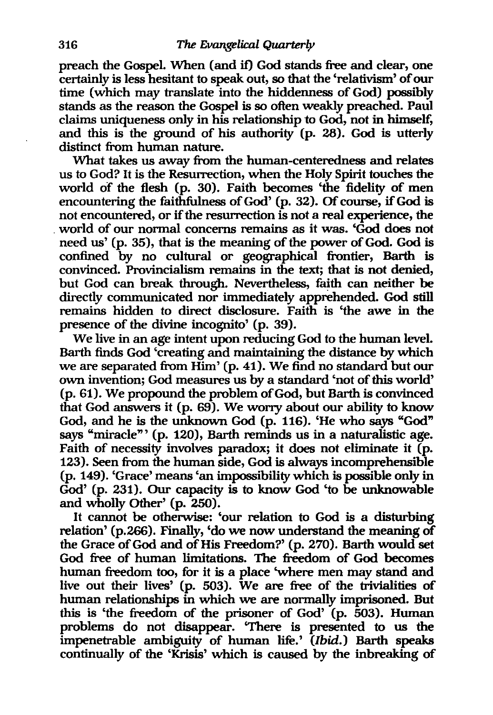preach the Gospel. When (and if) God stands free and clear, one certainly is less hesitant to speak out, so that the 'relativism' of our time (which may translate into the hiddenness of God) possibly stands as the reason the Gospel is so often weakly preached. Paul claims uniqueness only in his relationship to God, not in himself, and this is the ground of his authority (p. 28). God is utterly distinct from human nature.

What takes us away from the human-centeredness and relates us to God? It is the Resurrection, when the Holy Spirit touches the world of the flesh (p. 30). Faith becomes 'the fidelity of men encountering the faithfulness of God' (p. 32). Of course, if God is not encountered, or if the resurrection is not a real experience, the . world of our normal concerns remains as it was. 'God does not need us' (p. 35), that is the meaning of the power of God. God is confined by no cultural or geographical frontier, Barth is convinced. Provincialism remains in the text; that is not denied, but God can break through. Nevertheless, faith can neither be directly communicated nor immediately apprehended. God still remains hidden to direct disclosure. Faith is 'the awe in the presence of the divine incognito' (p. 39).

We live in an age intent upon reducing God to the human level. Barth finds God 'creating and maintaining the distance by which we are separated from Him' (p. 41). We find no standard but our own invention; God measures us by a standard 'not of this world' (p. 61). We propound the problem of God, but Barth is convinced that God answers it (p. 69). We worry about our ability to know God, and he is the unknown God (p. 116). 'He who says "God" says "miracle'" (p. 120), Barth reminds us in a naturalistic age. Faith of necessity involves paradox; it does not eliminate it (p. 123). Seen from the human side, God is always incomprehensible (p. 149). 'Grace' means 'an impossibility which is possible only in God' (p. 231). Our capacity is to know God 'to be unknowable and wholly Other' (p. 250).

It cannot be otherwise: 'our relation to God is a disturbing relation' (p.266). Finally, 'do we now understand the meaning of the Grace of God and of His Freedom?' (p. 270). Barth would set God free of human limitations. The freedom of God becomes human freedom too, for it is a place 'where men may stand and live out their lives' (p. 503). We are free of the trivialities of human relationships in which we are normally imprisoned. But this is 'the freedom of the prisoner of God' (p. 503). Human problems do not disappear. 'There is presented to us the impenetrable ambiguity of human life.' (Ibid.) Barth speaks continually of the 'Krisis' which is caused by the inbreaking of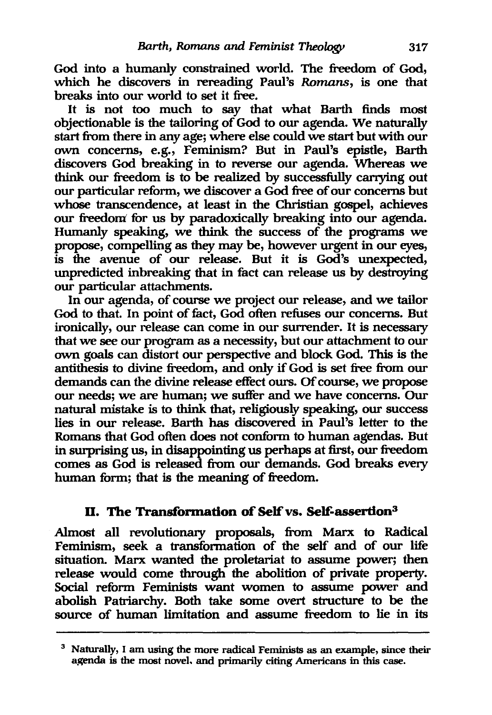God into a humanly constrained world. The freedom of God, which he discovers in rereading Paul's *Romans,* is one that breaks into our world to set it free.

It is not too much to say that what Barth finds most objectionable is the tailoring of God to our agenda. We naturally start from there in any age; where else could we start but with our own concerns, e.g., Feminism? But in Paul's epistle, Barth discovers God breaking in to reverse our agenda. Whereas we think our freedom is to be realized by successfully carrying out our particular reform, we discover a God free of our concerns but whose transcendence, at least in the Christian gospel, achieves our freedom for us by paradoxically breaking into our agenda. Humanly speaking, we think the success of the programs we propose, compelling as they may be, however urgent in our eyes, is the avenue of our release. But it is God's unexpected, unpredicted inbreaking that in fact can release us by destroying our particular attachments.

In our agenda, of course we project our release, and we tailor God to that. In point of fact, God often refuses our concerns. But ironically, our release can come in our surrender. It is necessary that we see our program as a necessity, but our attachment to our own goals can distort our perspective and block God. This is the antithesis to divine freedom, and only if God is set free from our demands can the divine release effect ours. Of course, we propose our needs; we are human; we suffer and we have concerns. Our natural mistake is to think that, religiously speaking, our success lies in our release. Barth has discovered in Paul's letter to the Romans that God often does not conform to human agendas. But in surprising us, in disappointing us perhaps at first, our freedom comes as God is released from our demands. God breaks every human form; that is the meaning of freedom.

## II. The Transformation of Self vs. Self-assertion<sup>3</sup>

Almost all revolutionary proposals, from Marx to Radical Feminism, seek a transformation of the self and of our life situation. Marx wanted the proletariat to assume power; then release would come through the abolition of private property. Social reform Feminists want women to assume power and abolish Patriarchy. Both take some overt structure to be the source of human limitation and assume freedom to lie in its

<sup>&</sup>lt;sup>3</sup> Naturally, I am using the more radical Feminists as an example, since their agenda is the most novel. and primarily citing Americans in this case.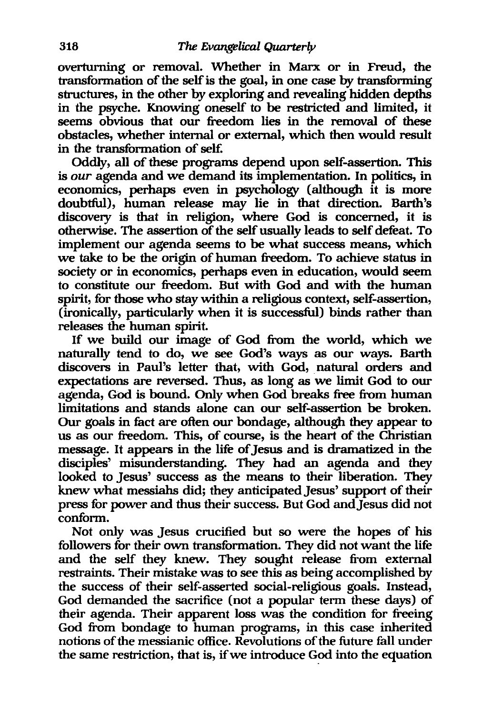overturning or removal. Whether in Marx or in Freud, the transformation of the self is the goal, in one case by transforming structures, in the other by exploring and revealing hidden depths in the psyche. Knowing oneself to be restricted and limited, it seems obvious that our freedom lies in the removal of these obstacles, whether internal or external, which then would result in the transformation of self.

Oddly, all of these programs depend upon self-assertion. This is *our* agenda and we demand its implementation. In politics, in economics, perhaps even in psychology (although it is more doubtful), human release may lie in that direction. Barth's discovery is that in religion, where God is concerned, it is otherwise. The assertion of the self usually leads to self defeat. To implement our agenda seems to be what success means, which we take to be the origin of human freedom. To achieve status in society or in economics, perhaps even in education, would seem to constitute our freedom. But with God and with the human spirit, for those who stay within a religious context, self-assertion, (ironically, particularly when it is successful) binds rather than releases the human spirit.

If we build our image of God from the world, which we naturally tend to do, we see God's ways as our ways. Barth discovers in Paul's letter that, with God, natural orders and expectations are reversed. Thus, as long as we limit God to our agenda, God is bound. Only when God breaks free from human limitations and stands alone can our self-assertion be broken. Our goals in fact are often our bondage, although they appear to us as our freedom. This, of course, is the heart of the Christian message. It appears in the life of Jesus and is dramatized in the disciples' misunderstanding. They had an agenda and they looked to Jesus' success as the means to their liberation. They knew what messiahs did; they anticipated Jesus' support of their press for power and thus their success. But God and Jesus did not conform.

Not only was Jesus crucified but so were the hopes of his followers for their own transformation. They did not want the life and the self they knew. They sought release from external restraints. Their mistake was to see this as being accomplished by the success of their self-asserted social-religious goals. Instead, God demanded the sacrifice (not a popular term these days) of their agenda. Their apparent loss was the condition for freeing God from bondage to human programs, in this case inherited notions of the messianic office. Revolutions of the future fall under the same restriction, that is, if we introduce God into the equation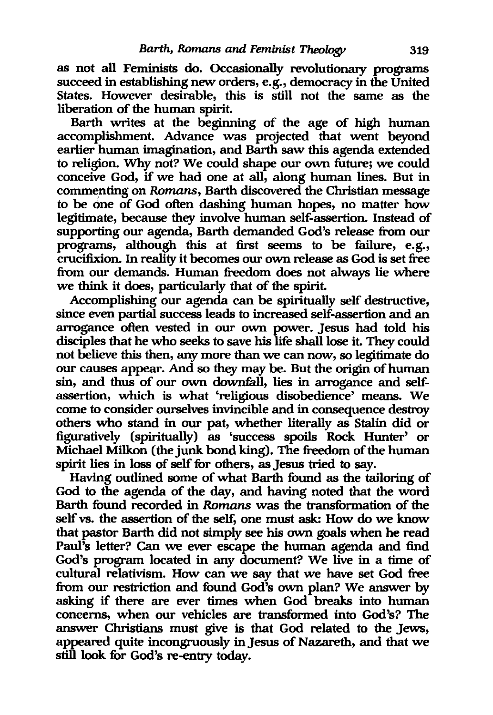as not all Feminists do. Occasionally revolutionary programs succeed in establishing new orders, e.g., democracy in the United States. However desirable, this is still not the same as the liberation of the human spirit.

Barth writes at the beginning of the age of high human accomplishment. Advance was projected that went beyond earlier human imagination, and Barth saw this agenda extended to religion. Why not? We could shape our own future; we could conceive God, if we had one at all, along human lines. But in commenting on *Romans*, Barth discovered the Christian message to be one of God often dashing human hopes, no matter how legitimate, because they involve human self-assertion. Instead of supporting our agenda, Barth demanded God's release from our programs, although this at first seems to be failure, e.g., crucifixion. In reality it becomes our own release as God is set free from our demands. Human freedom does not always lie where we think it does, particularly that of the spirit.

Accomplishing our agenda can be spiritually self destructive, since even partial success leads to increased self-assertion and an arrogance often vested in our own power. Jesus had told his disciples that he who seeks to save his life shall lose it. They could not believe this then, any more than we can now, so legitimate do our causes appear. And so they may be. But the origin of human sin, and thus of our own downfall, lies in arrogance and selfassertion, which is what 'religious disobedience' means. We come to consider ourselves invincible and in consequence destroy others who stand in our pat, whether literally as Stalin did or figuratively (spiritually) as 'success spoils Rock Hunter' or Michael Milkon (the junk bond king). The freedom of the human spirit lies in loss of self for others, as Jesus tried to say.

Having outlined some of what Barth found as the tailoring of God to the agenda of the day, and having noted that the word Barth found recorded in *Romans* was the transformation of the self vs. the assertion of the self, one must ask: How do we know that pastor Barth did not simply see his own goals when he read Paul's letter? Can we ever escape the human agenda and find God's program located in any document? We live in a time of cultural relativism. How can we say that we have set God free from our restriction and found God's own plan? We answer by asking if there are ever times when God breaks into human concerns, when our vehicles are transformed into God's? The answer Christians must give is that God related to the Jews, appeared quite incongruously in Jesus of Nazareth, and that we still look for God's re-entry today.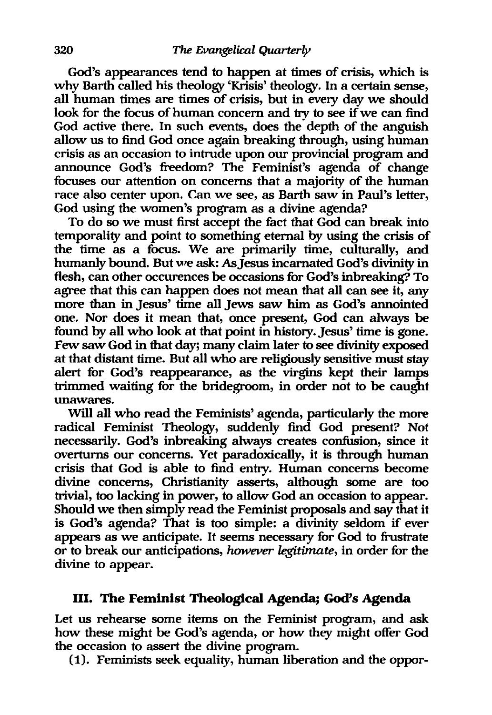God's appearances tend to happen at times of crisis, which is why Barth called his theology 'Krisis' theology. In a certain sense, all human times are times of crisis, but in every day we should look for the focus of human concern and try to see if we can find God active there. In such events, does the depth of the anguish allow us to find God once again breaking through, using human crisis as an occasion to intrude upon our provincial program and announce God's freedom? The Feminist's agenda of change focuses our attention on concerns that a majority of the human race also center upon. Can we see, as Barth saw in Paul's letter, God using the women's program as a divine agenda?

To do so we must first accept the fact that God can break into temporality and point to something eternal by using the crisis of the time as a focus. We are primarily time, culturally, and humanly bound. But we ask: As Jesus incarnated God's divinity in flesh, can other occurences be occasions for God's inbreaking? To agree that this can happen does not mean that all can see it, any more than in Jesus' time all Jews saw him as God's annointed one. Nor does it mean that, once present, God can always be found by all who look at that point in history. Jesus' time is gone. Few saw God in that day; many claim later to see divinity exposed at that distant time. But all who are religiously sensitive must stay alert for God's reappearance, as the virgins kept their lamps trimmed waiting for the bridegroom, in order not to be caught unawares.

Will all who read the Feminists' agenda, particularly the more radical Feminist Theology, suddenly find God present? Not necessarily. God's inbreaking always creates confusion, since it overturns our concerns. Yet paradoxically, it is through human crisis that God is able to find entry. Human concerns become divine concerns, Christianity asserts, although some are too trivial, too lacking in power, to allow God an occasion to appear. Should we then simply read the Feminist proposals and say that it is God's agenda? That is too simple: a divinity seldom if ever appears as we anticipate. It seems necessary for God to frustrate or to break our anticipations, *however legitimate,* in order for the divine to appear.

#### Ill. The Feminist Theological Agenda; God's Agenda

Let us rehearse some items on the Feminist program, and ask how these might be God's agenda, or how they might offer God the occasion to assert the divine program.

(1). Feminists seek equality, human liberation and the oppor-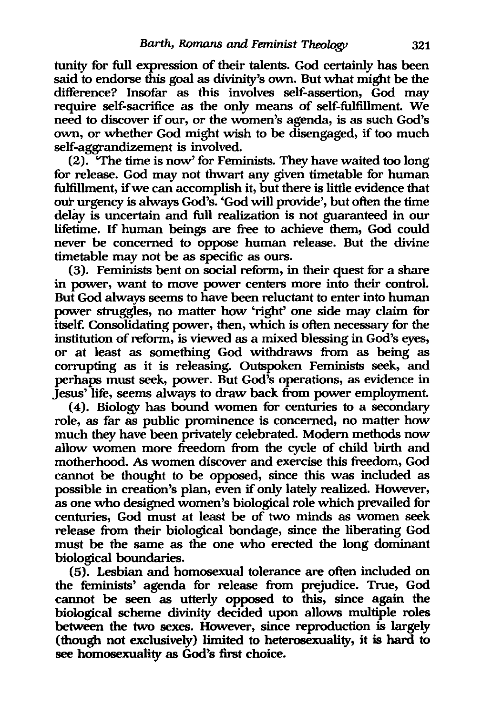tunity for full expression of their talents. God certainly has been said to endorse this goal as divinity's own. But what might be the difference? Insofar as this involves self-assertion, God may require self-sacrifice as the only means of self-fulfillment. We need to discover if our, or the women's agenda, is as such God's own, or whether God might wish to be disengaged, if too much self-aggrandizement is involved.

(2). 'The time is now' for Feminists. They have waited too long for release. God may not thwart any given timetable for human fulflllment, ifwe can accomplish it, but there is little evidence that our urgency is always God's. 'God will provide', but often the time delay is uncertain and full realization is not guaranteed in our lifetime. If human beings are free to achieve them, God could never be concerned to oppose human release. But the divine timetable may not be as specific as ours.

(3). Feminists bent on social reform, in their quest for a share in power, want to move power centers more into their control. But God always seems to have been reluctant to enter into human power struggles, no matter how 'right' one side may claim for itself. Consolidating power, then, which is often necessary for the institution of reform, is viewed as a mixed blessing in God's eyes, or at least as something God withdraws from as being as corrupting as it is releasing. Outspoken Feminists seek, and perhaps must seek, power. But God's operations, as evidence in Jesus' life, seems always to draw back from power employment.

(4). Biology has bound women for centuries to a secondary role, as far as public prominence is concerned, no matter how much they have been privately celebrated. Modem methods now allow women more freedom from the cycle of child birth and motherhood. As women discover and exercise this freedom, God cannot be thought to be opposed, since this was included as possible in creation's plan, even if only lately realized. However, as one who designed women's biological role which prevailed for centuries, God must at least be of two minds as women seek release from their biological bondage, since the liberating God must be the same as the one who erected the long dominant biological boundaries.

(5). Lesbian and homosexual tolerance are often included on the feminists' agenda for release from prejudice. True, God cannot be seen as utterly opposed to this, since again the biological scheme divinity decided upon allows multiple roles between the two sexes. However, since reproduction is largely (though not exclusively) limited to heterosexuality, it is hard to see homosexuality as God's first choice.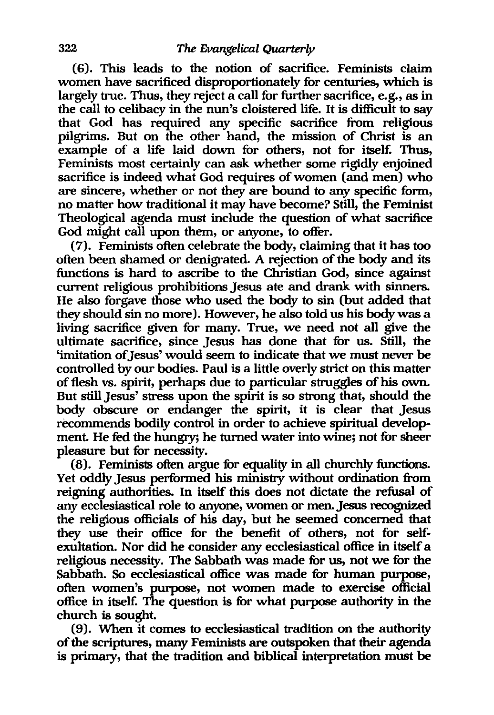(6). This leads to the notion of sacrifice. Feminists claim women have sacrificed disproportionately for centuries, which is largely true. Thus, they reject a call for further sacrifice, e.g., as in the call to celibacy in the nun's cloistered life. It is difficult to say that God has required any specific sacrifice from religious pilgrims. But on the other hand, the mission of Christ is an example of a life laid down for others, not for itself. Thus, Feminists most certainly can ask whether some rigidly enjoined sacrifice is indeed what God requires of women (and men) who are sincere, whether or not they are bound to any specific form, no matter how traditional it may have become? Still, the Feminist Theological agenda must include the question of what sacrifice God might call upon them, or anyone, to offer.

(7). Feminists often celebrate the body, claiming that it has too often been shamed or denigrated. A rejection of the body and its functions is hard to ascribe to the Christian God, since against current religious prohibitions Jesus ate and drank with sinners. He also forgave those who used the body to sin (but added that they should sin no more). However, he also told us his body was a living sacrifice given for many. True, we need not all give the ultimate sacrifice, since Jesus has done that for us. Still, the 'imitation of Jesus' would seem to indicate that we must never be controlled by our bodies. Paul is a little overly strict on this matter of flesh vs. spirit, perhaps due to particular struggles of his own. But still Jesus' stress upon the spirit is so strong that, should the body obscure or endanger the spirit, it is clear that Jesus recommends bodily control in order to achieve spiritual development. He fed the hungry; he turned water into wine; not for sheer pleasure but for necessity.

 $(8)$ . Feminists often argue for equality in all churchly functions. Yet oddly Jesus performed his ministry without ordination from reigning authorities. In itself this does not dictate the refusal of any ecclesiastical role to anyone, women or men. Jesus recognized the religious officials of his day, but he seemed concerned that they use their office for the benefit of others, not for selfexultation. Nor did he consider any ecclesiastical office in itself a religious necessity. The Sabbath was made for us, not we for the Sabbath. So ecclesiastical office was made for human purpose, often women's purpose, not women made to exercise official office in itself. The question is for what purpose authority in the church is sought.

(9). When it comes to ecclesiastical tradition on the authority of the scriptures, many Feminists are outspoken that their agenda is primary, that the tradition and biblical interpretation must be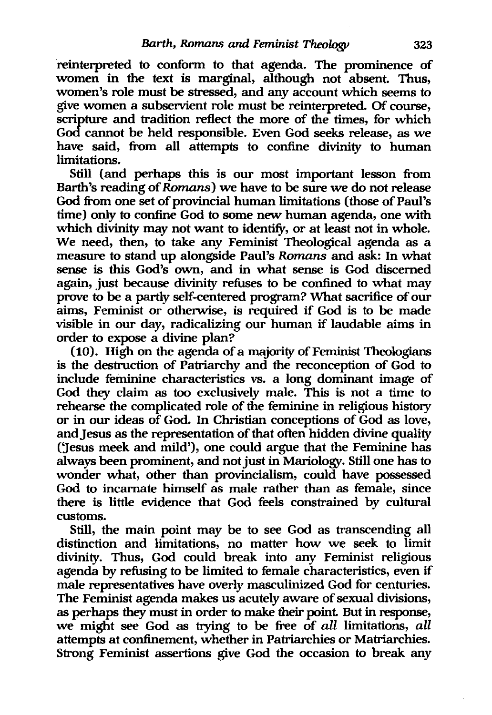reinterpreted to conform to that agenda. The prominence of women in the text is marginal, although not absent. Thus, women's role must be stressed, and any account which seems to give women a subservient role must be reinterpreted. Of course, scripture and tradition reflect the more of the times, for which God cannot be held responsible. Even God seeks release, as we have said, from all attempts to confine divinity to human limitations.

Still (and perhaps this is our most important lesson from Barth's reading of Romans) we have to be sure we do not release God from one set of provincial human limitations (those of Paul's time) only to confine God to some new human agenda, one with which divinity may not want to identify, or at least not in whole. We need, then, to take any Feminist Theological agenda as a measure to stand up alongside Paul's Romans and ask: In what sense is this God's own, and in what sense is God discerned again, just because divinity refuses to be confined to what may prove to be a partly self-centered program? What sacrifice of our aims, Feminist or otherwise, is required if God is to be made visible in our day, radicalizing our human if laudable aims in order to expose a divine plan?

(10). High on the agenda ofa majority of Feminist Theologians is the destruction of Patriarchy and the reconception of God to include feminine characteristics vs. a long dominant image of God they claim as too exclusively male. This is not a time to rehearse the complicated role of the feminine in religious history or in our ideas of God. In Christian conceptions of God as love, and Jesus as the representation of that often hidden divine quality (1esus meek and mild'), one could argue that the Feminine has always been prominent, and not just in Mariology. Still one has to wonder what, other than provincialism, could have possessed God to incarnate himself as male rather than as female, since there is little evidence that God feels constrained by cultural customs.

Still, the main point may be to see God as transcending all distinction and limitations, no matter how we seek to limit divinity. Thus, God could break into any Feminist religious agenda by refusing to be limited to female characteristics, even if male representatives have overly masculinized God for centuries. The Feminist agenda makes us acutely aware of sexual divisions, as perhaps they must in order to make their point. But in response, we might see God as trying to be free of all limitations, all attempts at confinement, whether in Patriarchies or Matriarchies. Strong Feminist assertions give God the occasion to break any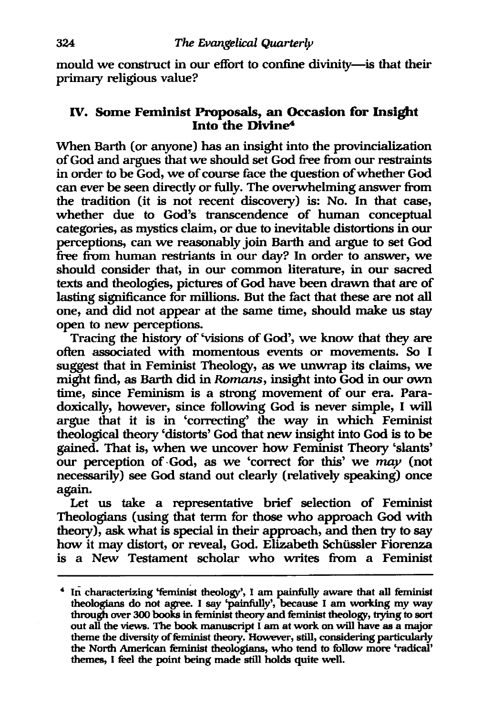mould we construct in our effort to confine divinity-is that their primary religious value?

### IV. Some Feminist Proposals, an Occasion for Insight Into the Divine"

When Barth (or anyone) has an insight into the provincialization of God and argues that we should set God free from our restraints in order to be God, we of course face the question of whether God can ever be seen directly or fully. The overwhelming answer from the tradition (it is not recent discovery) is: No. In that case, whether due to God's transcendence of human conceptual categories, as mystics claim, or due to inevitable distortions in our perceptions, can we reasonably join Barth and argue to set God free from human restriants in our day? In order to answer, we should consider that, in our common literature, in our sacred texts and theologies, pictures of God have been drawn that are of lasting significance for millions. But the fact that these are not all one, and did not appear at the same time, should make us stay open to new perceptions.

Tracing the history of 'visions of God', we know that they are often associated with momentous events or movements. So I suggest that in Feminist Theology, as we unwrap its claims, we might find, as Barth did in Romans, insight into God in our own time, since Feminism is a strong movement of our era. Paradoxically, however, since following God is never simple, I will argue that it is in 'correcting' the way in which Feminist theological theory 'distorts' God that new insight into God is to be gained. That is, when we uncover how Feminist Theory 'slants' our perception of . God, as we 'correct for this' we *may* (not necessarily) see God stand out clearly (relatively speaking) once again.

Let us take a representative brief selection of Feminist Theologians (using that term for those who approach God with theory), ask what is special in their approach, and then try to say how it may distort, or reveal, God. Elizabeth Schüssler Fiorenza is a New Testament scholar who writes from a Feminist

<sup>4</sup> In characterizing 'feminist theology', I am painfully aware that all feminist theologians do not agree. I say 'painfully', because I am working my way through over 300 books in feminist theory and feminist theology, trying to sort out all the views. The book manuscript I am at work on will have as a major theme the diversity of feminist theory. However, still, considering particularly the North American feminist theologians, who tend to follow more 'radical' themes, I feel the point being made still holds quite well.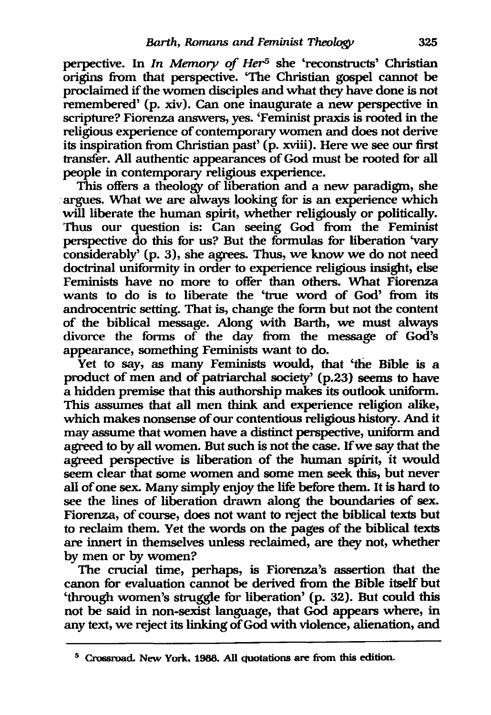perpective. In *In Memory of Her<sup>5</sup>* she 'reconstructs' Christian origins from that perspective. 'The Christian gospel cannot be proclaimed if the women disciples and what they have done is not remembered' (p. xiv). Can one inaugurate a new perspective in scripture? Fiorenza answers, yes. 'Feminist praxis is rooted in the religious experience of contemporary women and does not derive its inspiration from Christian past' (p. xviii). Here we see our first transfer. All authentic appearances of God must be rooted for all people in contemporary religious experience.

This offers a theology of liberation and a new paradigm, she argues. What we are always looking for is an experience which will liberate the human spirit, whether religiously or politically. Thus our question is: Can seeing God from the Feminist perspective do this for us? But the formulas for liberation 'vary considerably' (p. 3), she agrees. Thus, we know we do not need doctrinal uniformity in order to experience religious insight, else Feminists have no more to offer than others. What Fiorenza wants to do is to liberate the 'true word of God' from its androcentric setting. That is, change the form but not the content of the biblical message. Along with Barth, we must always divorce the forms of the day from the message of God's appearance, something Feminists want to do.

Yet to say, as many Feminists would, that 'the Bible is a product of men and of patriarchal society' (p.23) seems to have a hidden premise that this authorship makes its outlook uniform. This assumes that all men think and experience religion alike, which makes nonsense of our contentious religious history. And it may assume that women have a distinct perspective, uniform and agreed to by all women. But such is not the case. If we say that the agreed perspective is liberation of the human spirit, it would seem clear that some women and some men seek this, but never all of one sex. Many simply enjoy the life before them. It is hard to see the lines of liberation drawn along the boundaries of sex. Fiorenza, of course, does not want to reject the biblical texts but to reclaim them. Yet the words on the pages of the biblical texts are innert in themselves unless reclaimed, are they not, whether by men or by women?

The crucial time, perhaps, is Fiorenza's assertion that the canon for evaluation cannot be derived from the Bible itself but 'through women's struggle for liberation' (p. 32). But could this not be said in non-sexist language, that God appears where, in any text, we reject its linking of God with violence, alienation, and

<sup>5</sup> Crossroad. New York, 1988. All quotations are from this edition.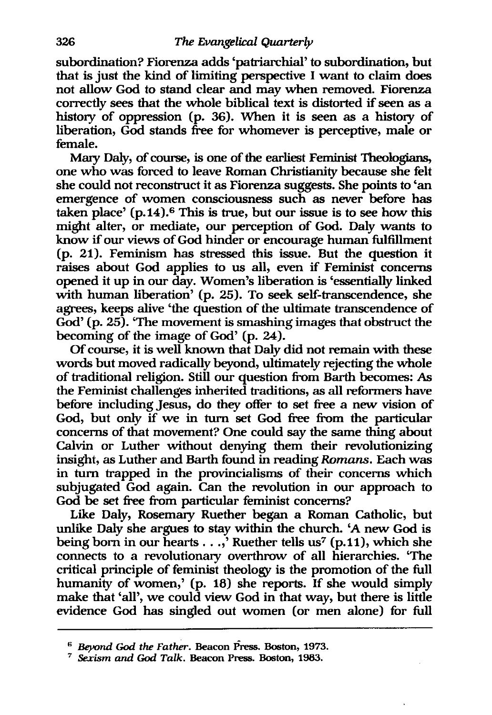subordination? Fiorenza adds 'patriarchial' to subordination, but that is just the kind of limiting perspective I want to claim does not allow God to stand clear and may when removed. Fiorenza correctly sees that the whole biblical text is distorted if seen as a history of oppression (p. 36). When it is seen as a history of liberation, God stands free for whomever is perceptive, male or female.

Mary Daly, of course, is one of the earliest Feminist Theologians, one who was forced to leave Roman Christianity because she felt she could not reconstruct it as Fiorenza suggests. She points to 'an emergence of women consciousness such as never before has taken place'  $(p.14)$ .<sup>6</sup> This is true, but our issue is to see how this might alter, or mediate, our perception of God. Daly wants to know if our views of God hinder or encourage human fulfillment (p. 21). Feminism has stressed this issue. But the question it raises about God applies to us all, even if Feminist concerns opened it up in our day. Women's liberation is 'essentially linked with human liberation' (p. 25). To seek self-transcendence, she agrees, keeps alive 'the question of the ultimate transcendence of God' (p. 25). 'The movement is smashing images that obstruct the becoming of the image of God' (p. 24).

Of course, it is well known that Daly did not remain with these words but moved radically beyond, ultimately rejecting the whole of traditional religion. Still our question from Barth becomes: As the Feminist challenges inherited traditions, as all reformers have before including Jesus, do they offer to set free a new vision of God, but only if we in turn set God free from the particular concerns of that movement? One could say the same thing about Calvin or Luther without denying them their revolutionizing insight, as Luther and Barth found in reading *Romans.* Each was in turn trapped in the provincialisms of their concerns which subjugated God again. Can the revolution in our approach to God be set free from particular feminist concerns?

Like Daly, Rosemary Ruether began a Roman Catholic, but unlike Daly she argues to stay within the church. 'A new God is being born in our hearts  $\ldots$ , Ruether tells us<sup>7</sup> (p.11), which she connects to a revolutionary overthrow of all hierarchies. 'The critical principle of feminist theology is the promotion of the full humanity of women,' (p. 18) she reports. If she would simply make that 'all', we could view God in that way, but there is little evidence God has singled out women (or men alone) for full

<sup>6</sup>*Beyond* God *the Father.* Beacon Press. Boston, 1973.

*<sup>7</sup> Sexism and* God *Talk.* Beacon Press. Boston, 1983.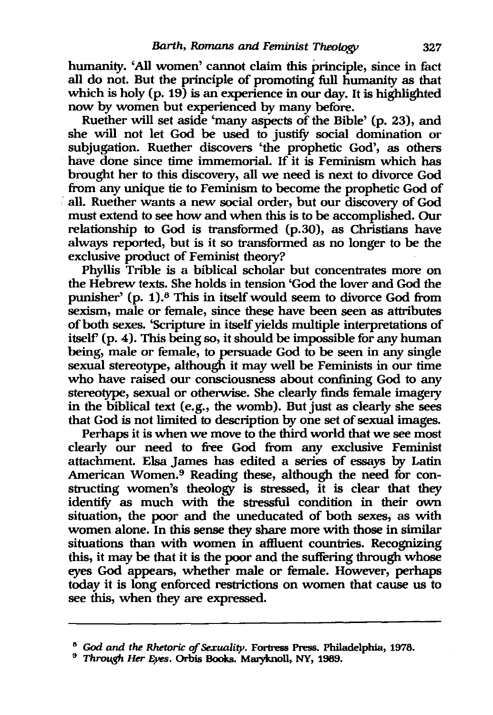humanity. 'All women' cannot claim this principle, since in fact all do not. But the principle of promoting full humanity as that which is holy (p. 19) is an experience in our day. It is highlighted now by women but experienced by many before.

Ruether will set aside 'many aspects of the Bible' (p. 23), and she will not let God be used to justify social domination or subjugation. Ruether discovers 'the prophetic God', as others have done since time immemorial. If it is Feminism which has brought her to this discovery, all we need is next to divorce God from any unique tie to Feminism to become the prophetic God of : all. Ruether wants a new social order, but our discovery of God must extend to see how and when this is to be accomplished. Our relationship to God is transformed (p.30), as Christians have always reported, but is it so transformed as no longer to be the exclusive product of Feminist theory?

Phyllis Trible is a biblical scholar but concentrates more on the Hebrew texts. She holds in tension 'God the lover and God the punisher' (p. 1).8 This in itself would seem to divorce God from sexism, male or female, since these have been seen as attributes of both sexes. 'Scripture in itself yields multiple interpretations of itself' (p. 4). This being so, it should be impossible for any human being, male or female, to persuade God to be seen in any single sexual stereotype, although it may well be Feminists in our time who have raised our consciousness about confining God to any stereotype, sexual or otherwise. She clearly finds female imagery in the biblical text (e.g., the womb). But just as clearly she sees that God is not limited to description by one set of sexual images.

Perhaps it is when we move to the third world that we see most clearly our need to free God from any exclusive Feminist attachment. EIsa James has edited a series of essays by Latin American Women.<sup>9</sup> Reading these, although the need for constructing women's theology is stressed, it is clear that they identify as much with the stressful condition in their own situation, the poor and the uneducated of both sexes, as with women alone. In this sense they share more with those in similar situations than with women in affluent countries. Recognizing this, it may be that it is the poor and the suffering through whose eyes God appears, whether male or female. However, perhaps today it is long enforced restrictions on women that cause us to see this, when they are expressed.

<sup>8</sup>*God* and *the Rhetoric of Sexuality.* Fortress Press. Philadelphia, 1978.

<sup>&</sup>lt;sup>9</sup> *Through Her Eyes.* Orbis Books. Maryknoll, NY, 1989.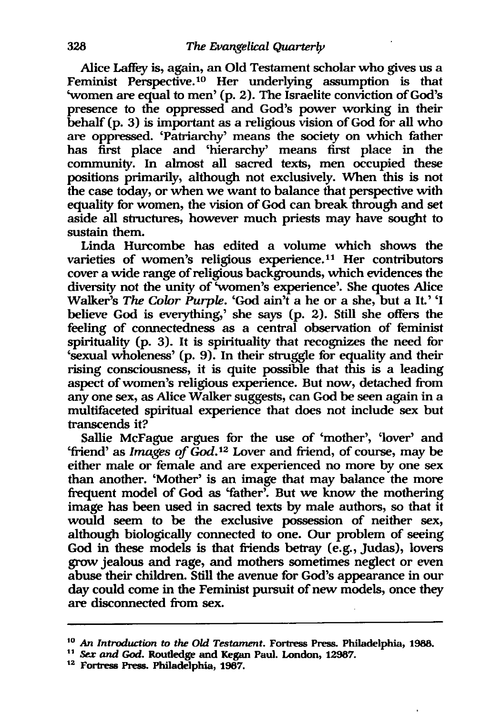Alice Laffey is, again, an Old Testament scholar who gives us a Feminist Perspective.<sup>10</sup> Her underlying assumption is that 'women are equal to men' (p. 2). The Israelite conviction of God's presence to the oppressed and God's power working in their behalf (p. 3) is important as a religious vision of God for all who are oppressed. 'Patriarchy' means the society on which father has first place and 'hierarchy' means first place in the community. In almost all sacred texts, men occupied these positions primarily, although not exclusively. When this is not the case today, or when we want to balance that perspective with equality for women, the vision of God can break. through and set aside all structures, however much priests may have sought to sustain them.

Linda Hurcombe has edited a volume which shows the varieties of women's religious experience.<sup>11</sup> Her contributors cover a wide range of religious backgrounds, which evidences the diversity not the unity of 'women's experience'. She quotes Alice Walker's *The Color Purple.* 'God ain't a he or a she, but a It.' 'I believe God is everything,' she says (p. 2). Still she offers the feeling of connectedness as a central observation of feminist spirituality (p. 3). It is spirituality that recognizes the need for 'sexual wholeness' (p. 9). In their struggle for equality and their rising consciousness, it is quite possible that this is a leading aspect of women's religious experience. But now, detached from anyone sex, as Alice Walker suggests, can God be seen again in a multifaceted spiritual experience that does not include sex but transcends it?

Sallie McFague argues for the use of 'mother', 'lover' and 'friend' as *Images of God*.<sup>12</sup> Lover and friend, of course, may be either male or female and are experienced no more by one sex than another. 'Mother' is an image that may balance the more frequent model of God as 'father'. But we know the mothering image has been used in sacred texts by male authors, so that it would seem to be the exclusive possession of neither sex, although biologically connected to one. Our problem of seeing God in these models is that friends betray (e.g., Judas), lovers grow jealous and rage, and mothers sometimes neglect or even abuse their children. Still the avenue for God's appearance in our day could come in the Feminist pursuit of new models, once they are disconnected from sex.

<sup>10</sup>*An Introduction* to *the Old Testament.* Fortress Press. Philadelphia, 1988.

<sup>11</sup>*Sex* and God. Roudedge and Kegan Paul. London, 12967.

<sup>12</sup> Fortress Press. Philadelphia, 1967.